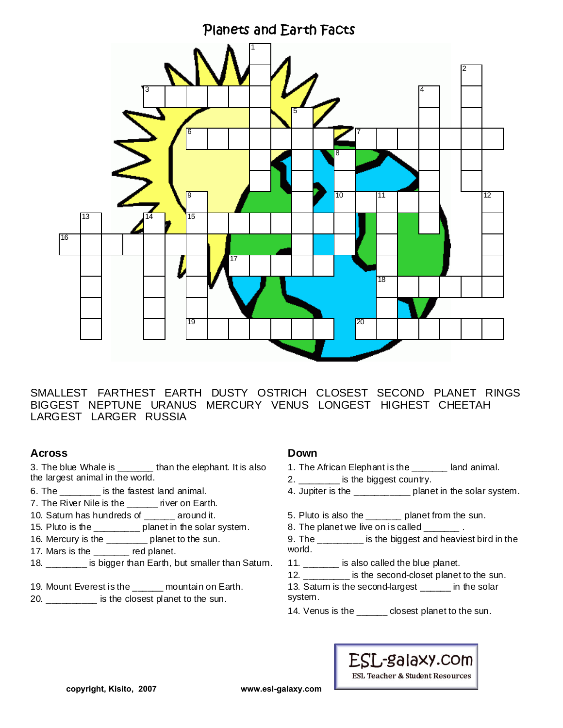

SMALLEST FARTHEST EARTH DUSTY OSTRICH CLOSEST SECOND PLANET RINGS BIGGEST NEPTUNE URANUS MERCURY VENUS LONGEST HIGHEST CHEETAH LARGEST LARGER RUSSIA

## **Across**

3. The blue Whale is \_\_\_\_\_\_\_ than the elephant. It is also the largest animal in the world.

- 6. The **is the fastest land animal.**
- 7. The River Nile is the \_\_\_\_\_ river on Earth.
- 10. Saturn has hundreds of \_\_\_\_\_\_ around it.
- 15. Pluto is the \_\_\_\_\_\_\_\_\_ planet in the solar system.
- 16. Mercury is the \_\_\_\_\_\_\_\_ planet to the sun.
- 17. Mars is the \_\_\_\_\_\_\_ red planet.
- 18. **Example 18.** is bigger than Earth, but smaller than Saturn.
- 19. Mount Everest is the \_\_\_\_\_\_ mountain on Earth.
- 20. \_\_\_\_\_\_\_\_\_\_ is the closest planet to the sun.

### **Down**

- 1. The African Elephant is the \_\_\_\_\_\_\_ land animal.
- 2. \_\_\_\_\_\_\_\_ is the biggest country.
- 4. Jupiter is the **Example 1** planet in the solar system.
- 5. Pluto is also the \_\_\_\_\_\_\_ planet from the sun.
- 8. The planet we live on is called  $\qquad \qquad$ .
- 9. The \_\_\_\_\_\_\_\_\_ is the biggest and heaviest bird in the world.
- 11. \_\_\_\_\_\_\_ is also called the blue planet.
- 12. \_\_\_\_\_\_\_\_\_ is the second-closet planet to the sun.
- 13. Saturn is the second-largest \_\_\_\_\_\_ in the solar system.
- 14. Venus is the \_\_\_\_\_\_ closest planet to the sun.



**ESL Teacher & Student Resources**